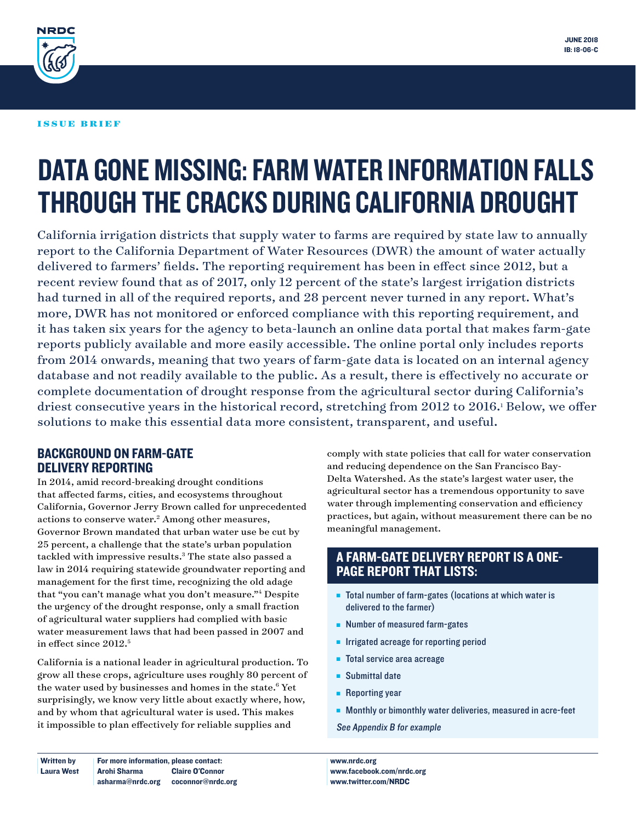

#### ISSUE BRIEF

# DATA GONE MISSING: FARM WATER INFORMATION FALLS THROUGH THE CRACKS DURING CALIFORNIA DROUGHT

California irrigation districts that supply water to farms are required by state law to annually report to the California Department of Water Resources (DWR) the amount of water actually delivered to farmers' fields. The reporting requirement has been in effect since 2012, but a recent review found that as of 2017, only 12 percent of the state's largest irrigation districts had turned in all of the required reports, and 28 percent never turned in any report. What's more, DWR has not monitored or enforced compliance with this reporting requirement, and it has taken six years for the agency to beta-launch an online data portal that makes farm-gate reports publicly available and more easily accessible. The online portal only includes reports from 2014 onwards, meaning that two years of farm-gate data is located on an internal agency database and not readily available to the public. As a result, there is effectively no accurate or complete documentation of drought response from the agricultural sector during California's driest consecutive years in the historical record, stretching from 2012 to 2016.<sup>1</sup> Below, we offer solutions to make this essential data more consistent, transparent, and useful.

#### BACKGROUND ON FARM-GATE DELIVERY REPORTING

In 2014, amid record-breaking drought conditions that affected farms, cities, and ecosystems throughout California, Governor Jerry Brown called for unprecedented actions to conserve water.<sup>2</sup> Among other measures, Governor Brown mandated that urban water use be cut by 25 percent, a challenge that the state's urban population tackled with impressive results.<sup>3</sup> The state also passed a law in 2014 requiring statewide groundwater reporting and management for the first time, recognizing the old adage that "you can't manage what you don't measure."4 Despite the urgency of the drought response, only a small fraction of agricultural water suppliers had complied with basic water measurement laws that had been passed in 2007 and in effect since 2012.<sup>5</sup>

California is a national leader in agricultural production. To grow all these crops, agriculture uses roughly 80 percent of the water used by businesses and homes in the state.<sup>6</sup> Yet surprisingly, we know very little about exactly where, how, and by whom that agricultural water is used. This makes it impossible to plan effectively for reliable supplies and

comply with state policies that call for water conservation and reducing dependence on the San Francisco Bay-Delta Watershed. As the state's largest water user, the agricultural sector has a tremendous opportunity to save water through implementing conservation and efficiency practices, but again, without measurement there can be no meaningful management.

## A FARM-GATE DELIVERY REPORT IS A ONE-PAGE REPORT THAT LISTS:

- $\blacksquare$  Total number of farm-gates (locations at which water is delivered to the farmer)
- $\blacksquare$  Number of measured farm-gates
- **n** Irrigated acreage for reporting period
- Total service area acreage
- $\blacksquare$  Submittal date
- $\blacksquare$  Reporting year
- **n** Monthly or bimonthly water deliveries, measured in acre-feet

See Appendix B for example

**Written by** Laura West For more information, please contact: Arohi Sharma asharma@nrdc.org coconnor@nrdc.org Claire O'Connor

www.nrdc.org www.facebook.com/nrdc.org www.twitter.com/NRDC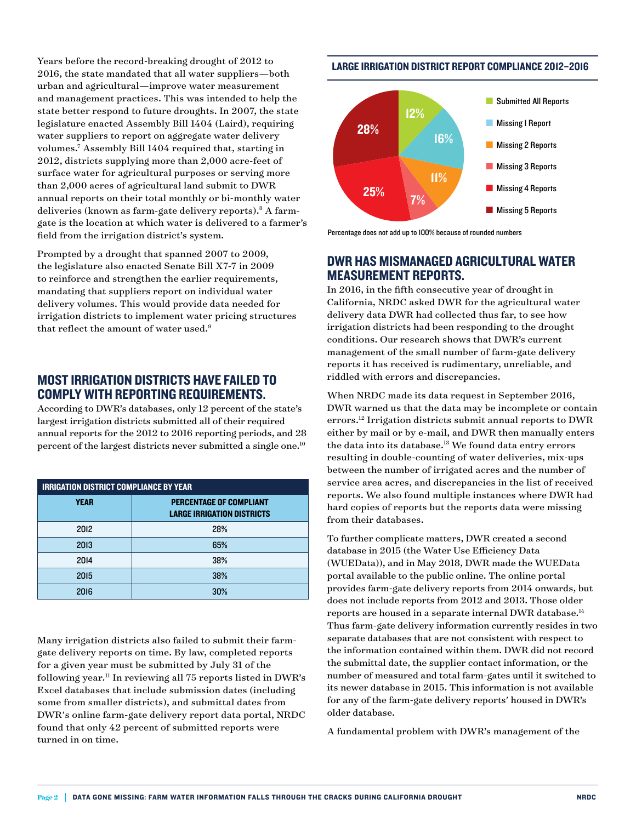Years before the record-breaking drought of 2012 to 2016, the state mandated that all water suppliers—both urban and agricultural—improve water measurement and management practices. This was intended to help the state better respond to future droughts. In 2007, the state legislature enacted Assembly Bill 1404 (Laird), requiring water suppliers to report on aggregate water delivery volumes.7 Assembly Bill 1404 required that, starting in 2012, districts supplying more than 2,000 acre-feet of surface water for agricultural purposes or serving more than 2,000 acres of agricultural land submit to DWR annual reports on their total monthly or bi-monthly water deliveries (known as farm-gate delivery reports).<sup>8</sup> A farmgate is the location at which water is delivered to a farmer's field from the irrigation district's system.

Prompted by a drought that spanned 2007 to 2009, the legislature also enacted Senate Bill X7-7 in 2009 to reinforce and strengthen the earlier requirements, mandating that suppliers report on individual water delivery volumes. This would provide data needed for irrigation districts to implement water pricing structures that reflect the amount of water used.<sup>9</sup>

## MOST IRRIGATION DISTRICTS HAVE FAILED TO COMPLY WITH REPORTING REQUIREMENTS.

According to DWR's databases, only 12 percent of the state's largest irrigation districts submitted all of their required annual reports for the 2012 to 2016 reporting periods, and 28 percent of the largest districts never submitted a single one.10

| <b>IRRIGATION DISTRICT COMPLIANCE BY YEAR</b> |                                                              |
|-----------------------------------------------|--------------------------------------------------------------|
| <b>YEAR</b>                                   | PERCENTAGE OF COMPLIANT<br><b>LARGE IRRIGATION DISTRICTS</b> |
| 2012                                          | 28%                                                          |
| 2013                                          | 65%                                                          |
| 2014                                          | 38%                                                          |
| 2015                                          | 38%                                                          |
| 2016                                          | 30%                                                          |

Many irrigation districts also failed to submit their farmgate delivery reports on time. By law, completed reports for a given year must be submitted by July 31 of the following year.11 In reviewing all 75 reports listed in DWR's Excel databases that include submission dates (including some from smaller districts), and submittal dates from DWR's online farm-gate delivery report data portal, NRDC found that only 42 percent of submitted reports were turned in on time.

#### LARGE IRRIGATION DISTRICT REPORT COMPLIANCE 2012–2016



Percentage does not add up to 100% because of rounded numbers

#### DWR HAS MISMANAGED AGRICULTURAL WATER MEASUREMENT REPORTS.

In 2016, in the fifth consecutive year of drought in California, NRDC asked DWR for the agricultural water delivery data DWR had collected thus far, to see how irrigation districts had been responding to the drought conditions. Our research shows that DWR's current management of the small number of farm-gate delivery reports it has received is rudimentary, unreliable, and riddled with errors and discrepancies.

When NRDC made its data request in September 2016, DWR warned us that the data may be incomplete or contain errors.12 Irrigation districts submit annual reports to DWR either by mail or by e-mail, and DWR then manually enters the data into its database.<sup>13</sup> We found data entry errors resulting in double-counting of water deliveries, mix-ups between the number of irrigated acres and the number of service area acres, and discrepancies in the list of received reports. We also found multiple instances where DWR had hard copies of reports but the reports data were missing from their databases.

To further complicate matters, DWR created a second database in 2015 (the Water Use Efficiency Data (WUEData)), and in May 2018, DWR made the WUEData portal available to the public online. The online portal provides farm-gate delivery reports from 2014 onwards, but does not include reports from 2012 and 2013. Those older reports are housed in a separate internal DWR database.14 Thus farm-gate delivery information currently resides in two separate databases that are not consistent with respect to the information contained within them. DWR did not record the submittal date, the supplier contact information, or the number of measured and total farm-gates until it switched to its newer database in 2015. This information is not available for any of the farm-gate delivery reports' housed in DWR's older database.

A fundamental problem with DWR's management of the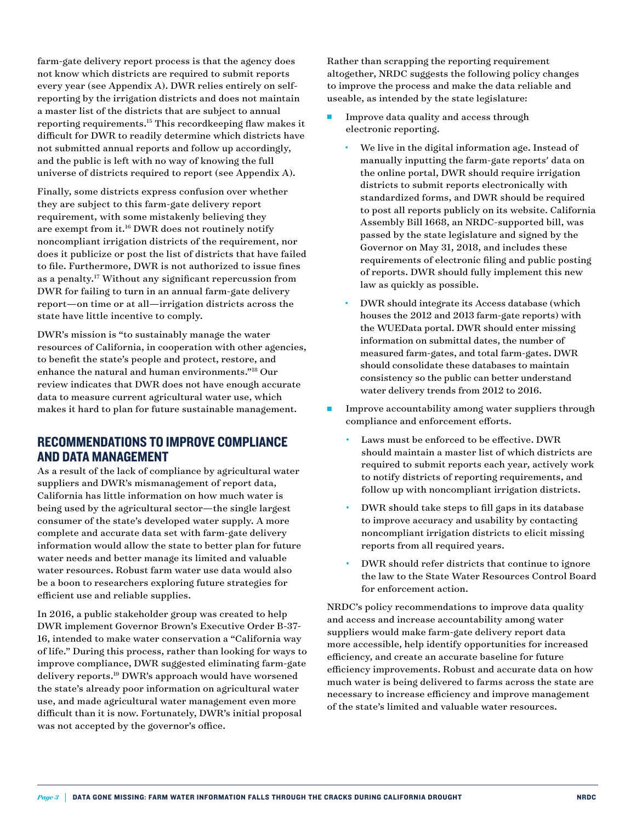farm-gate delivery report process is that the agency does not know which districts are required to submit reports every year (see Appendix A). DWR relies entirely on selfreporting by the irrigation districts and does not maintain a master list of the districts that are subject to annual reporting requirements.15 This recordkeeping flaw makes it difficult for DWR to readily determine which districts have not submitted annual reports and follow up accordingly, and the public is left with no way of knowing the full universe of districts required to report (see Appendix A).

Finally, some districts express confusion over whether they are subject to this farm-gate delivery report requirement, with some mistakenly believing they are exempt from it.<sup>16</sup> DWR does not routinely notify noncompliant irrigation districts of the requirement, nor does it publicize or post the list of districts that have failed to file. Furthermore, DWR is not authorized to issue fines as a penalty.17 Without any significant repercussion from DWR for failing to turn in an annual farm-gate delivery report—on time or at all—irrigation districts across the state have little incentive to comply.

DWR's mission is "to sustainably manage the water resources of California, in cooperation with other agencies, to benefit the state's people and protect, restore, and enhance the natural and human environments."18 Our review indicates that DWR does not have enough accurate data to measure current agricultural water use, which makes it hard to plan for future sustainable management.

#### RECOMMENDATIONS TO IMPROVE COMPLIANCE AND DATA MANAGEMENT

As a result of the lack of compliance by agricultural water suppliers and DWR's mismanagement of report data, California has little information on how much water is being used by the agricultural sector—the single largest consumer of the state's developed water supply. A more complete and accurate data set with farm-gate delivery information would allow the state to better plan for future water needs and better manage its limited and valuable water resources. Robust farm water use data would also be a boon to researchers exploring future strategies for efficient use and reliable supplies.

In 2016, a public stakeholder group was created to help DWR implement Governor Brown's Executive Order B-37- 16, intended to make water conservation a "California way of life." During this process, rather than looking for ways to improve compliance, DWR suggested eliminating farm-gate delivery reports.19 DWR's approach would have worsened the state's already poor information on agricultural water use, and made agricultural water management even more difficult than it is now. Fortunately, DWR's initial proposal was not accepted by the governor's office.

Rather than scrapping the reporting requirement altogether, NRDC suggests the following policy changes to improve the process and make the data reliable and useable, as intended by the state legislature:

- <sup>n</sup> Improve data quality and access through electronic reporting.
	- We live in the digital information age. Instead of manually inputting the farm-gate reports' data on the online portal, DWR should require irrigation districts to submit reports electronically with standardized forms, and DWR should be required to post all reports publicly on its website. California Assembly Bill 1668, an NRDC-supported bill, was passed by the state legislature and signed by the Governor on May 31, 2018, and includes these requirements of electronic filing and public posting of reports. DWR should fully implement this new law as quickly as possible.
	- DWR should integrate its Access database (which houses the 2012 and 2013 farm-gate reports) with the WUEData portal. DWR should enter missing information on submittal dates, the number of measured farm-gates, and total farm-gates. DWR should consolidate these databases to maintain consistency so the public can better understand water delivery trends from 2012 to 2016.
- Improve accountability among water suppliers through compliance and enforcement efforts.
	- Laws must be enforced to be effective. DWR should maintain a master list of which districts are required to submit reports each year, actively work to notify districts of reporting requirements, and follow up with noncompliant irrigation districts.
	- DWR should take steps to fill gaps in its database to improve accuracy and usability by contacting noncompliant irrigation districts to elicit missing reports from all required years.
	- DWR should refer districts that continue to ignore the law to the State Water Resources Control Board for enforcement action.

NRDC's policy recommendations to improve data quality and access and increase accountability among water suppliers would make farm-gate delivery report data more accessible, help identify opportunities for increased efficiency, and create an accurate baseline for future efficiency improvements. Robust and accurate data on how much water is being delivered to farms across the state are necessary to increase efficiency and improve management of the state's limited and valuable water resources.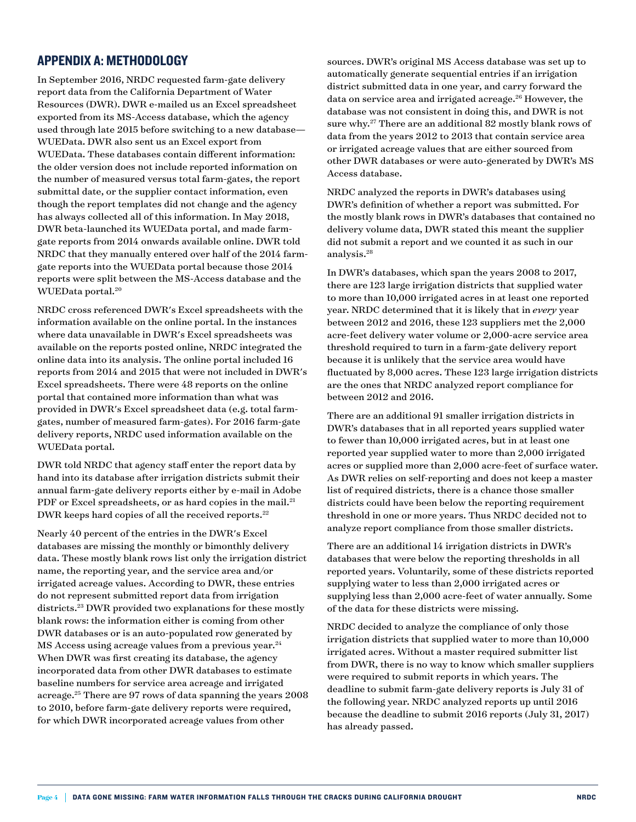### APPENDIX A: METHODOLOGY

In September 2016, NRDC requested farm-gate delivery report data from the California Department of Water Resources (DWR). DWR e-mailed us an Excel spreadsheet exported from its MS-Access database, which the agency used through late 2015 before switching to a new database— WUEData. DWR also sent us an Excel export from WUEData. These databases contain different information: the older version does not include reported information on the number of measured versus total farm-gates, the report submittal date, or the supplier contact information, even though the report templates did not change and the agency has always collected all of this information. In May 2018, DWR beta-launched its WUEData portal, and made farmgate reports from 2014 onwards available online. DWR told NRDC that they manually entered over half of the 2014 farmgate reports into the WUEData portal because those 2014 reports were split between the MS-Access database and the WUEData portal.20

NRDC cross referenced DWR's Excel spreadsheets with the information available on the online portal. In the instances where data unavailable in DWR's Excel spreadsheets was available on the reports posted online, NRDC integrated the online data into its analysis. The online portal included 16 reports from 2014 and 2015 that were not included in DWR's Excel spreadsheets. There were 48 reports on the online portal that contained more information than what was provided in DWR's Excel spreadsheet data (e.g. total farmgates, number of measured farm-gates). For 2016 farm-gate delivery reports, NRDC used information available on the WUEData portal.

DWR told NRDC that agency staff enter the report data by hand into its database after irrigation districts submit their annual farm-gate delivery reports either by e-mail in Adobe PDF or Excel spreadsheets, or as hard copies in the mail.<sup>21</sup> DWR keeps hard copies of all the received reports.<sup>22</sup>

Nearly 40 percent of the entries in the DWR's Excel databases are missing the monthly or bimonthly delivery data. These mostly blank rows list only the irrigation district name, the reporting year, and the service area and/or irrigated acreage values. According to DWR, these entries do not represent submitted report data from irrigation districts.23 DWR provided two explanations for these mostly blank rows: the information either is coming from other DWR databases or is an auto-populated row generated by MS Access using acreage values from a previous year.<sup>24</sup> When DWR was first creating its database, the agency incorporated data from other DWR databases to estimate baseline numbers for service area acreage and irrigated acreage.25 There are 97 rows of data spanning the years 2008 to 2010, before farm-gate delivery reports were required, for which DWR incorporated acreage values from other

sources. DWR's original MS Access database was set up to automatically generate sequential entries if an irrigation district submitted data in one year, and carry forward the data on service area and irrigated acreage.<sup>26</sup> However, the database was not consistent in doing this, and DWR is not sure why.27 There are an additional 82 mostly blank rows of data from the years 2012 to 2013 that contain service area or irrigated acreage values that are either sourced from other DWR databases or were auto-generated by DWR's MS Access database.

NRDC analyzed the reports in DWR's databases using DWR's definition of whether a report was submitted. For the mostly blank rows in DWR's databases that contained no delivery volume data, DWR stated this meant the supplier did not submit a report and we counted it as such in our analysis.28

In DWR's databases, which span the years 2008 to 2017, there are 123 large irrigation districts that supplied water to more than 10,000 irrigated acres in at least one reported year. NRDC determined that it is likely that in *every* year between 2012 and 2016, these 123 suppliers met the 2,000 acre-feet delivery water volume or 2,000-acre service area threshold required to turn in a farm-gate delivery report because it is unlikely that the service area would have fluctuated by 8,000 acres. These 123 large irrigation districts are the ones that NRDC analyzed report compliance for between 2012 and 2016.

There are an additional 91 smaller irrigation districts in DWR's databases that in all reported years supplied water to fewer than 10,000 irrigated acres, but in at least one reported year supplied water to more than 2,000 irrigated acres or supplied more than 2,000 acre-feet of surface water. As DWR relies on self-reporting and does not keep a master list of required districts, there is a chance those smaller districts could have been below the reporting requirement threshold in one or more years. Thus NRDC decided not to analyze report compliance from those smaller districts.

There are an additional 14 irrigation districts in DWR's databases that were below the reporting thresholds in all reported years. Voluntarily, some of these districts reported supplying water to less than 2,000 irrigated acres or supplying less than 2,000 acre-feet of water annually. Some of the data for these districts were missing.

NRDC decided to analyze the compliance of only those irrigation districts that supplied water to more than 10,000 irrigated acres. Without a master required submitter list from DWR, there is no way to know which smaller suppliers were required to submit reports in which years. The deadline to submit farm-gate delivery reports is July 31 of the following year. NRDC analyzed reports up until 2016 because the deadline to submit 2016 reports (July 31, 2017) has already passed.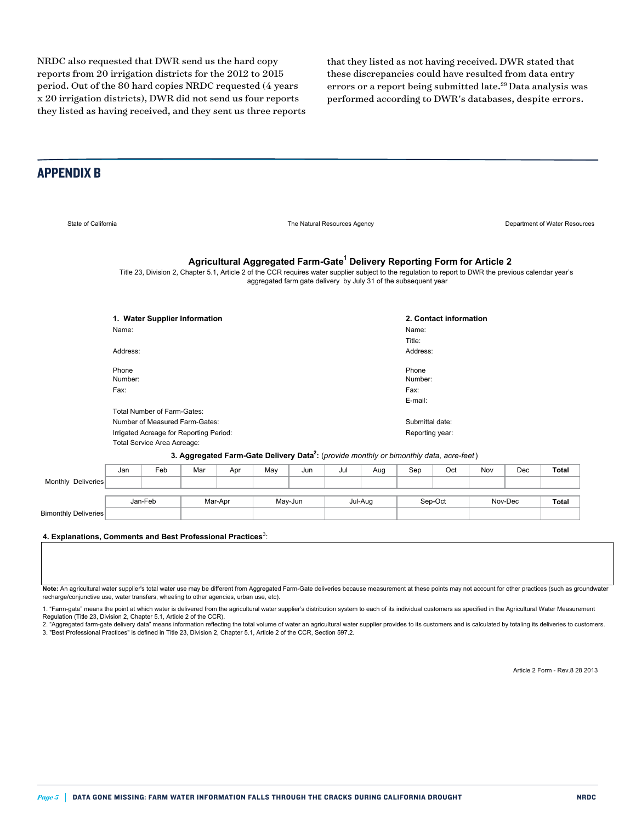NRDC also requested that DWR send us the hard copy reports from 20 irrigation districts for the 2012 to 2015 period. Out of the 80 hard copies NRDC requested (4 years x 20 irrigation districts), DWR did not send us four reports they listed as having received, and they sent us three reports that they listed as not having received. DWR stated that these discrepancies could have resulted from data entry errors or a report being submitted late.29 Data analysis was performed according to DWR's databases, despite errors.

#### APPENDIX B

Bimonthly Deliveries

State of California **State of California** The Natural Resources Agency **The Natural Resources Agency** Department of Water Resources Name: Name: Title: Address: Address: Phone Number: Phone Number: Fax: Fax: E-mail: Reporting year: Jan Feb Mar Apr May Jun Jul Aug Sep Oct Nov Dec **Total Total** Nov-Dec Agricultural Aggregated Farm-Gate<sup>1</sup> Delivery Reporting Form for Article 2 **2. Contact information 3. Aggregated Farm-Gate Delivery Data2 :** (*provide monthly or bimonthly data, acre-feet*) **1. Water Supplier Information** Mar-Apr May-Jun Jul-Aug Sep-Oct Monthly Deliveries Jan-Feb Total Service Area Acreage: Number of Measured Farm-Gates: Irrigated Acreage for Reporting Period: Submittal date: Title 23, Division 2, Chapter 5.1, Article 2 of the CCR requires water supplier subject to the regulation to report to DWR the previous calendar year's aggregated farm gate delivery by July 31 of the subsequent year Total Number of Farm-Gates:

**4. Explanations, Comments and Best Professional Practices**<sup>3</sup>

**Note:** An agricultural water supplier's total water use may be different from Aggregated Farm-Gate deliveries because measurement at these points may not account for other practices (such as groundwater recharge/conjunctive use, water transfers, wheeling to other agencies, urban use, etc).

1. "Farm-gate" means the point at which water is delivered from the agricultural water supplier's distribution system to each of its individual customers as specified in the Agricultural Water Measurement Regulation (Title 23, Division 2, Chapter 5.1, Article 2 of the CCR).

:

2. "Aggregated farm-gate delivery data" means information reflecting the total volume of water an agricultural water supplier provides to its customers and is calculated by totaling its deliveries to customers. 3. "Best Professional Practices" is defined in Title 23, Division 2, Chapter 5.1, Article 2 of the CCR, Section 597.2.

Article 2 Form - Rev.8 28 2013